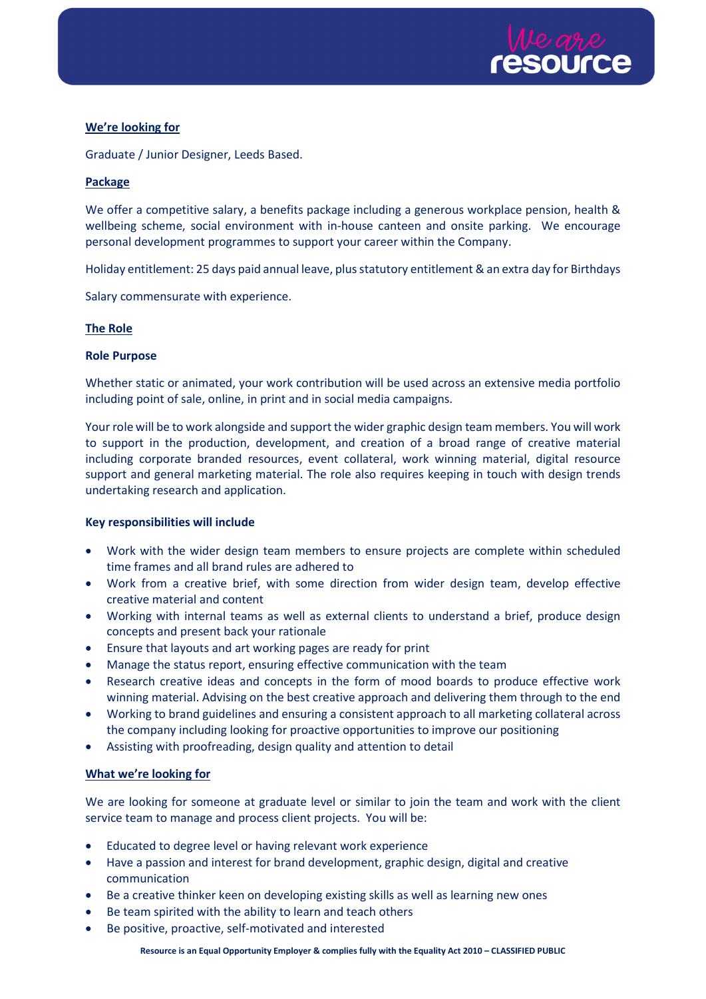

# We're looking for

Graduate / Junior Designer, Leeds Based.

## Package

We offer a competitive salary, a benefits package including a generous workplace pension, health & wellbeing scheme, social environment with in-house canteen and onsite parking. We encourage personal development programmes to support your career within the Company.

Holiday entitlement: 25 days paid annual leave, plus statutory entitlement & an extra day for Birthdays

Salary commensurate with experience.

## The Role

## Role Purpose

Whether static or animated, your work contribution will be used across an extensive media portfolio including point of sale, online, in print and in social media campaigns.

Your role will be to work alongside and support the wider graphic design team members. You will work to support in the production, development, and creation of a broad range of creative material including corporate branded resources, event collateral, work winning material, digital resource support and general marketing material. The role also requires keeping in touch with design trends undertaking research and application.

## Key responsibilities will include

- Work with the wider design team members to ensure projects are complete within scheduled time frames and all brand rules are adhered to
- Work from a creative brief, with some direction from wider design team, develop effective creative material and content
- Working with internal teams as well as external clients to understand a brief, produce design concepts and present back your rationale
- Ensure that layouts and art working pages are ready for print
- Manage the status report, ensuring effective communication with the team
- Research creative ideas and concepts in the form of mood boards to produce effective work winning material. Advising on the best creative approach and delivering them through to the end
- Working to brand guidelines and ensuring a consistent approach to all marketing collateral across the company including looking for proactive opportunities to improve our positioning
- Assisting with proofreading, design quality and attention to detail

## What we're looking for

We are looking for someone at graduate level or similar to join the team and work with the client service team to manage and process client projects. You will be:

- Educated to degree level or having relevant work experience
- Have a passion and interest for brand development, graphic design, digital and creative communication
- Be a creative thinker keen on developing existing skills as well as learning new ones
- Be team spirited with the ability to learn and teach others
- Be positive, proactive, self-motivated and interested